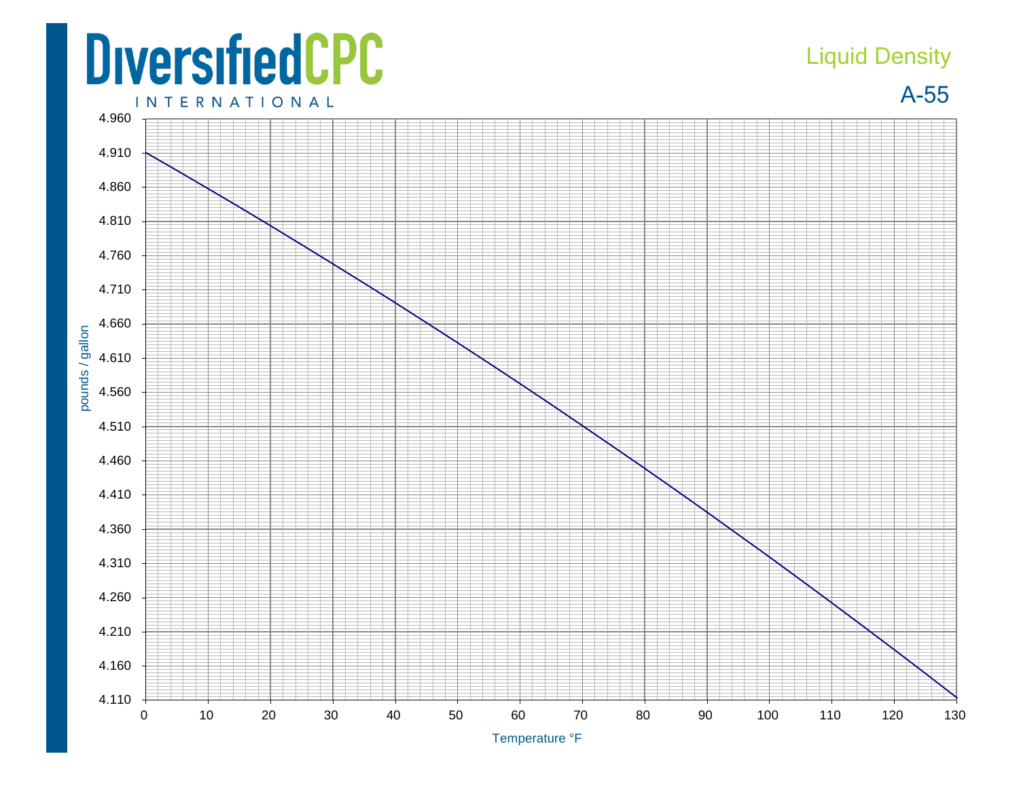## **DiversifiedCPC INTERNATIONAL**

## Liquid Density

A-55